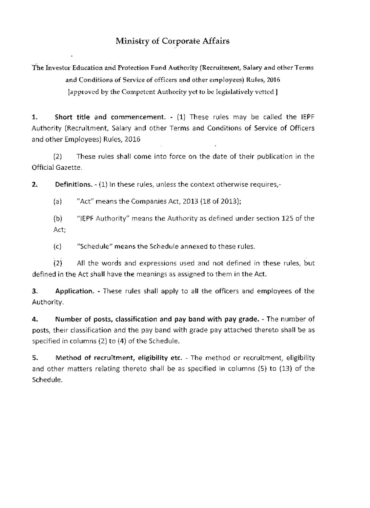## Ministry of Corporate Affairs

The Investor Education and Protection Fund Authority (Recruitment, Salary and other Terms and Conditions of Service of officers and other employees) Rules, 2016 [approved by the Competent Authority yet to be legislatively vetted]

**1. Short title and** commencement. - **(1)** These rules may be called the IEPF Authority (Recruitment, Salary and other Terms and Conditions of Service of Officers and other Employees) Rules, 2016

(2) These rules shall come into force on the date of their publication in the Official Gazette.

2. Definitions. - (1) In these rules, unless the context otherwise requires,-

(a) "Act" means the Companies Act, 2013 (18 of 2013);

(b) "IEPF Authority" means the Authority as defined under section 125 of the Act;

(c) "Schedule" means the Schedule annexed to these rules.

(2) All the words and expressions used and not defined in these rules, but defined in the Act shall have the meanings as assigned to them in the Act.

**3. Application.** - These rules shall apply to all the officers and employees of the Authority.

**4. Number** of **posts, classification and pay band with pay grade.** - The number of posts, their classification and the pay band with grade pay attached thereto shall be as specified in columns (2) to (4) of the Schedule.

**5. Method of recruitment, eligibility etc.** - The method or recruitment, eligibility and other matters relating thereto shall be as specified in columns (5) to (13) of the Schedule.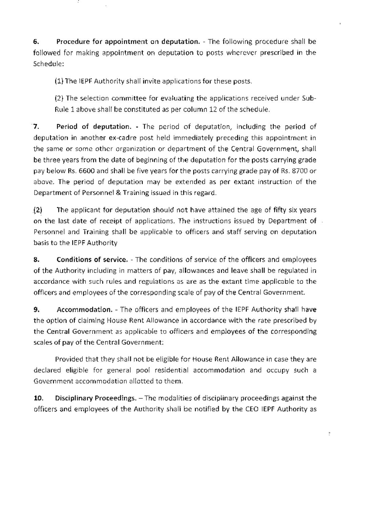6. Procedure for appointment on deputation. - The following procedure shall be followed for making appointment on deputation to posts wherever prescribed in the Schedule:

(1) The IEPF Authority shall invite applications for these posts.

(2) The selection committee for evaluating the applications received under Sub-Rule 1 above shall be constituted as per column 12 of the schedule.

7. Period of deputation. - The period of deputation, including the period of deputation in another ex-cadre post held immediately preceding this appointment in the same or some other organization or department of the Central Government, shall be three years from the date of beginning of the deputation for the posts carrying grade pay below Rs. 6600 and shall be five years for the posts carrying grade pay of Rs. 8700 or above. The period of deputation may be extended as per extant instruction of the Department of Personnel & Training issued in this regard.

(2) The applicant for deputation should not have attained the age of fifty six years on the last date of receipt of applications. The instructions issued by Department of Personnel and Training shall be applicable to officers and staff serving on deputation basis to the IEPF Authority

8. Conditions of service. - The conditions of service of the officers and employees of the Authority including in matters of pay, allowances and leave shall be regulated in accordance with such rules and regulations as are as the extant time applicable to the officers and employees of the corresponding scale of pay of the Central Government.

9. Accommodation. - The officers and employees of the IEPF Authority shall have the option of claiming House Rent Allowance in accordance with the rate prescribed by the Central Government as applicable to officers and employees of the corresponding scales of pay of the Central Government:

Provided that they shall not be eligible for House Rent Allowance in case they are declared eligible for general pool residential accommodation and occupy such a Government accommodation allotted to them.

10. Disciplinary Proceedings. - The modalities of disciplinary proceedings against the officers and employees of the Authority shall be notified by the CEO IEPF Authority as

ŀ.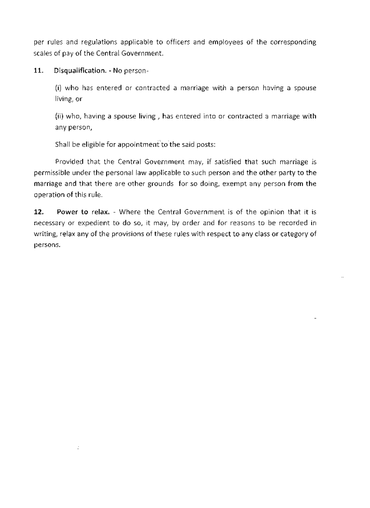per rules and regulations applicable to officers and employees of the corresponding scales of pay of the Central Government.

**11. Disqualification.** - No person-

 $\mathbb{R}^2$ 

 $(i)$  who has entered or contracted a marriage with a person having a spouse living, or

(ii) who, having a spouse living , has entered into or contracted a marriage with any person,

Shall be eligible for appointment to the said posts:

Provided that the Central Government may, if satisfied that such marriage is permissible under the personal law applicable to such person and the other party to the marriage and that there are other grounds for so doing, exempt any person from the operation of this **rule.** 

**12. Power to relax.** - Where the Central Government is of the opinion that it is necessary or expedient to do so, it may, by order and for reasons to be recorded in writing, relax any of the provisions of these rules with respect to any class or category of persons.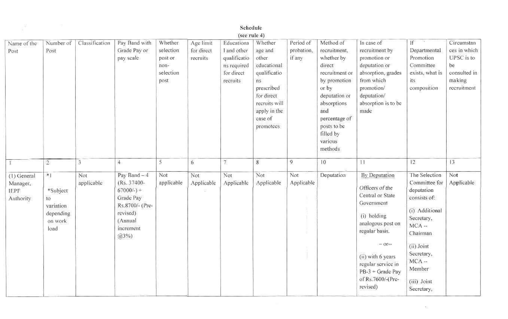|                                                     |                                                                         |                   |                                                                                                                           |                                                              |                                     | Schedule                                                                                           |                                                                                                                                                       |                                   |                                                                                                                                                                                                        |                                                                                                                                                                                                                                      |                                                                                                                                                                                                   |                                                                                         |
|-----------------------------------------------------|-------------------------------------------------------------------------|-------------------|---------------------------------------------------------------------------------------------------------------------------|--------------------------------------------------------------|-------------------------------------|----------------------------------------------------------------------------------------------------|-------------------------------------------------------------------------------------------------------------------------------------------------------|-----------------------------------|--------------------------------------------------------------------------------------------------------------------------------------------------------------------------------------------------------|--------------------------------------------------------------------------------------------------------------------------------------------------------------------------------------------------------------------------------------|---------------------------------------------------------------------------------------------------------------------------------------------------------------------------------------------------|-----------------------------------------------------------------------------------------|
| Name of the<br>Post                                 | Number of<br>Post                                                       | Classification    | Pay Band with<br>Grade Pay or<br>pay scale                                                                                | Whether<br>selection<br>post or<br>non-<br>selection<br>post | Age limit<br>for direct<br>recruits | (see rule 4)<br>Educationa<br>I and other<br>qualificatio<br>ns required<br>for direct<br>recruits | Whether<br>age and<br>other<br>cducational<br>qualificatio<br>ns<br>prescribed<br>for direct<br>recruits will<br>apply in the<br>case of<br>promotees | Period of<br>probation,<br>if any | Method of<br>recruitment,<br>whether by<br>direct<br>recruitment or<br>by promotion<br>or by<br>deputation or<br>absorptions<br>and<br>percentage of<br>posts to be<br>filled by<br>various<br>methods | In case of<br>recruitment by<br>promotion or<br>deputation or<br>absorption, grades<br>from which<br>promotion/<br>deputation/<br>absorption is to be<br>made                                                                        | If<br>Departmental<br>Promotion<br>Committee<br>exists, what is<br>its.<br>composition                                                                                                            | Circumstan<br>ces in which<br>UPSC is to<br>be<br>consulted in<br>making<br>recruitment |
|                                                     | $\overline{2}$                                                          | 3                 | $\overline{4}$                                                                                                            | 5                                                            | $\boldsymbol{6}$                    | $\overline{t}$                                                                                     | $\boldsymbol{8}$                                                                                                                                      | 9                                 | 10                                                                                                                                                                                                     | 1                                                                                                                                                                                                                                    | 12 <sub>1</sub>                                                                                                                                                                                   | 13                                                                                      |
| (1) General<br>Manager,<br><b>IEPF</b><br>Authority | $\ast$  <br>*Subject<br>to<br>variation<br>depending<br>on work<br>load | Not<br>applicable | Pay Band - 4<br>(Rs. 37400-<br>$67000/-$ ) +<br>Grade Pay<br>Rs.8700/- (Pre-<br>revised)<br>(Annual<br>increment<br>(23%) | Not<br>applicable                                            | Not<br>Applicable                   | Not<br>Applicable                                                                                  | Not<br>Applicable                                                                                                                                     | Not<br>Applicable                 | Deputation                                                                                                                                                                                             | By Deputation<br>Officers of the<br>Central or State<br>Government<br>(i) holding<br>analogous post on<br>regular basis.<br>$-$ Of**<br>(ii) with 6 years<br>regular service in<br>PB-3 + Grade Pay<br>of Rs.7600/-(Pre-<br>revised) | The Selection<br>Committee for<br>deputation<br>consists of:<br>(i) Additional<br>Secretary,<br>$MCA -$<br>Chairman<br>(ii) Joint<br>Secretary,<br>$MCA -$<br>Member<br>(iii) Joint<br>Secretary, | Not<br>Applicable                                                                       |

 $\geq$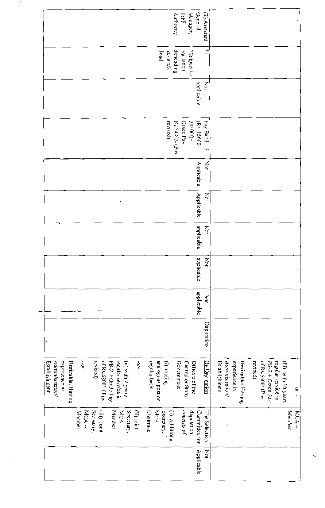|            |                | Establishment         |            |            |            |            |            |            |                 |            |                  |                 |
|------------|----------------|-----------------------|------------|------------|------------|------------|------------|------------|-----------------|------------|------------------|-----------------|
|            |                | Administration/       |            |            |            |            |            |            |                 |            |                  |                 |
|            |                | experience in         |            |            |            |            |            |            |                 |            |                  |                 |
|            |                | Desirable: Having     |            |            |            |            |            |            |                 |            |                  |                 |
|            | Member         |                       |            |            |            |            |            |            |                 |            |                  |                 |
|            | MCA-           | $-0.5$                |            |            |            |            |            |            |                 |            |                  |                 |
|            | Secretary,     | revised)              |            |            |            |            |            |            |                 |            |                  |                 |
|            | (iii) Joint    | of Rs.4800/- (Pre-    |            |            |            |            |            |            |                 |            |                  |                 |
|            | Mender         | PB-2 + Grade Pay      |            |            |            |            |            |            |                 |            |                  |                 |
|            | MCA-           | regular service in    |            |            |            |            |            |            |                 |            |                  |                 |
|            | Secretary,     | (ii) with 2 years     |            |            |            |            |            |            |                 |            |                  |                 |
|            | (ii) Joint     | ់                     |            |            |            |            |            |            |                 |            |                  |                 |
|            | Chairman       |                       |            |            |            |            |            |            |                 |            |                  |                 |
|            | MCA-           | regular basis.        |            |            |            |            |            |            |                 |            |                  |                 |
|            | Secretary,     | analogous post on     |            |            |            |            |            |            |                 |            | load             |                 |
|            | (i) Additional | (i) holding           |            |            |            |            |            |            | revised)        |            | уюм во           |                 |
|            |                | Government            |            |            |            |            |            |            | Rs.5400/- (Pre- |            | depending        | Authority       |
|            | consists of :  | Central or State      |            |            |            |            |            |            | Grade Pay       |            | variation        | <b>HEP</b>      |
|            | deputation     | Officers of the       |            |            |            |            |            |            | $+000168$       |            | *Subject to      | Manager,        |
| Applicable | Committee for  |                       |            | applicable | applicable | applicable | Applicable | Applicable | (Rs. 15600-     | applicable |                  | General         |
| Š          | The Selection  | <u>iolisting Cycl</u> | Deputation | Χòί        | Š          | Not        | ğ          | λğ         | Pay Band - 3    | ğ          | $\overset{*}{=}$ | $(2)$ Assistant |
|            |                | Establishment         |            |            |            |            |            |            |                 |            |                  |                 |
|            | ÷              | Administration/       |            |            |            |            |            |            |                 |            |                  |                 |
|            |                | experience in         |            |            |            |            |            |            |                 |            |                  |                 |
|            |                | Desirable: Having     |            |            |            |            |            |            |                 |            |                  |                 |
|            |                | revised)              |            |            |            |            |            |            |                 |            |                  |                 |
|            |                | of Rs,6600/-(Pre-     |            |            |            |            |            |            |                 |            |                  |                 |
|            |                | PB-3 + Crade Pay      |            |            |            |            |            |            |                 |            |                  |                 |
|            |                | regular service in    |            |            |            |            |            |            |                 |            |                  |                 |
|            |                | (iii) with 10 years   |            |            |            |            |            |            |                 |            |                  |                 |
|            | Member         |                       |            |            |            |            |            |            |                 |            |                  |                 |
|            | MCA-           | $\frac{1}{2}$         |            |            |            |            |            |            |                 |            |                  |                 |

- -

ł,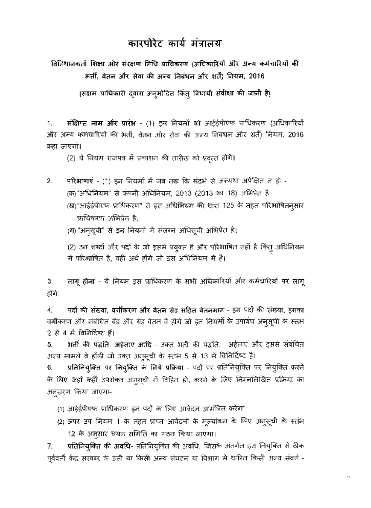## कारपोरेट कार्य मंत्रालय

विनिधानकर्ता शिक्षा और संरक्षण निधि प्राधिकरण (अधिकारियों और अन्य कर्मचारियों की भर्ती, वेतन और सेवा की अन्य निबंधन और शर्तैं) नियम, 2016

[सक्षम प्राधिकारी दवारा अनूमोदित किंतू विधायी संवीक्षा की जानी है]

संक्षिप्त नाम और प्रारंभ - (1) इन नियमों को आईईपीएफ प्राधिकरण (अधिकारियों 1. और अन्य कर्मचारियों की भर्ती, वेतन और सेवा की अन्य निबंधन और शर्तें) नियम, 2016 कहा जाएगां।

(2) ये नियम राजपत्र में प्रकाशन की तारीख को प्रवृत्त होगें।

- 2. परिभाषाएं - (1) इन नियमों में जब तक कि संदर्भ से अन्यथा अपेक्षित न हो -(क)"अधिनियम" से कंपनी अधिनियम, 2013 (2013 का 18) अभिप्रेत है; (ख)"आईईपीएफ प्राधिकरण" से इस अधिनियम की धारा 125 के तहत परिभाषितन्**सा**र प्राधिकरण अभिप्रेत है;
	- (ग) "अनुसूची" से इन नियमों में संलग्न अधिसूची अभिप्रेत है।

(2) उन शब्दों और पदों के जो इसमें प्रयुक्त हैं और परिभाषित नहीं है किंतु अधिनियम में परिभाषित है, वही अर्थ होंगे जो उस अधिनियम में है।

लागू होना - ये नियम इस प्राधिकरण के सभी अधिकारियों और कर्मचारियों पर लागू З. होंगे।

पदों की संख्या, वर्गीकरण और वेतन ग्रेड सहित वेतनमान - इन पदों की संख्या, इसका 4. वर्गीकरण और संबंधित बैंड और ग्रेड वेतन वे होंगे जो इन नियमों के उपाबंध अनूसूची के स्तंभ 2 से 4 में विनिरिष्ट हैं।

भर्ती की पद्धति, अर्हताएं आदि - उक्त भर्ती की पद्धति, अर्हताएं और इससे संबंधित 5. अन्य मामले वे होंगी जो उक्त अनुसूची के स्तंभ 5 से 13 में विनिर्दिष्ट है।

<mark>प्रतिनियुक्ति पर नियुक्ति के लिये प्रक्रिया</mark> - पदों पर प्रतिनियुक्ति पर नियुक्ति करने 6. के लिए जहां कहीं उपरोक्त अनूसूची में विहित हो, करने के लिए निम्नलिखित प्रक्रिया का अनुसरण किया जाएगा-

- (1) आईईपीएफ प्राधिकरण इन पदों के लिए आवेदन आमंत्रित करेगा।
- (2) ऊपर उप नियम 1 के तहत प्राप्त आवेदनों के मूल्यांकन के लिए अनुसूची के स्तंभ 12 के अन्सार चयन समिति का गठन किया जाएगा।

प्रतिनियुक्ति की अवधि- प्रतिनियूक्ति की अवधि, जिसके अंतर्गत इस नियुक्ति से ठीक 7. पूर्ववर्ती केंद्र सरकार के उसी या किसी अन्य संघटन या विभाग में धारित किसी अन्य संवर्ग -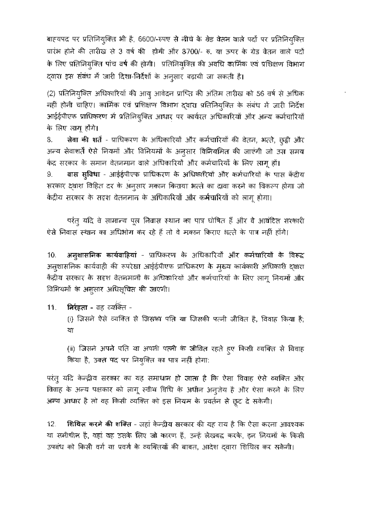बाहयपद पर प्रतिनियुक्ति भी है, 6600/-रुपए से लीधे के ग्रेड वेतन वाले पदों पर प्रतिनियुक्ति प्रारंभ होने की तारीख़ से 3 वर्ष की होगी और 8700/- रु. या ऊपर के ग्रेड वेतन वाले पदों के लिए प्रतिनियुक्ति पांच वर्ष की होगी। प्रतिनियुक्ति की अवधि कार्मिक एवं प्रशिक्षण विभाग द्वारा इस संबंध में जारी दिशा-निर्देशों के अनुसार बढ़ायी जा सकती है।

(2) प्रतिनियुक्ति अधिकारियों की आयु आवेदन प्राप्ति की अंतिम तारीख को 56 वर्ष से अधिक नहीं होनी चाहिए। कार्मिक एवं प्रशिक्षण विभाग दवारा प्रतिनियुक्ति के संबंध में जारी निर्देश आईईपीएफ प्राधिकरण में प्रतिनियुक्ति आधार पर कार्यरत अधिकारियों और अन्य कर्मचारियों के लिए लागू होंगे।

सेवा की शर्ते - प्राधिकरण के अधिकारियों और कर्मचारियों की देतन, भत्ते, छुट्ठी और 8. अन्य सेवाशर्ते ऐसे नियमों और विनियमों के अनुसार विनियमित की जाएंगी जो उस समय केंद्र सरकार के समान वेतनमान वाले अधिकारियों और कर्मचारियों के लिए लागू हों। वास सुविधा - आईईपीएफ प्राधिकरण के अधिकारियों और कर्मचारियों के पास केंद्रीय 9. सरकार दवारा विहित दर के अनुसार मकान किराया भत्ते का दावा करने का विकल्प होगा जो

केंद्रीय सरकार के सदृश वेतनमान के अधिकारियों और कर्मचारियों को लागू होगा।

परंतु यदि वे सामान्य पूल निवास स्थान का पात्र घोषित हैं और वे आवंटित सरकारी ऐसे निवास स्थान का अधिभोग कर रहे हैं तो वे मकान किराए भत्ते के पात्र नहीं होंगे।

अनुशासनिक कार्यवाहियां - प्राधिकरण के अधिकारियों और कर्मचारियों के विरूद्ध 10. अनुशासनिक कार्यवाही की रूपरेखा आईईपीएफ प्राधिकरण के मुख्य कार्यकारी अधिकारी दवारा केंद्रीय सरकार के सदृश वेतन्नआर्मों के अधिकारियों और कर्मचारियों के लिए लागू नियमों और विनियमों के अनुसार अधिसूचित की जाएगी।

 $11.$ निर्रहता - वह व्यक्ति -

> (i) जिसने ऐसे व्यक्ति से जिसका पति या जिसकी पत्नी जीवित है, विवाह किया है; या

> (ii) जिसने अपने पति था अपनी पत्नी के जीवित रहते हुए किसी व्यक्ति से विवाह किया है, उक्त पद पर नियुक्ति का पात्र नहीं होगा:

परंतु यदि केन्द्रीय सरकार का यह समाधान हो जाता है कि ऐसा विवाह ऐसे व्यक्ति और विवाह के अन्य पक्षकार को लागू स्वीथ विधि के अधीन अनुज़ेय है और ऐसा करने के लिए अन्य आधार है तो वह किसी व्यक्ति को इस नियम के प्रवर्तन से छूट दे सकेगी।

शिथिल करने की शक्ति - जहां केन्द्रीय सरकार की यह राय है कि ऐसा करना आदश्यक  $12.$ था ससीचीन है, वहां वह उसके लिए जो कारण हैं, उन्हें लेखबद्ध करके, इन नियमों के किसी उपबंध को किसी वर्ग या प्रवर्ग के व्यक्तियों की बाबत, आदेश दवारा शिथिल कर सकेगी।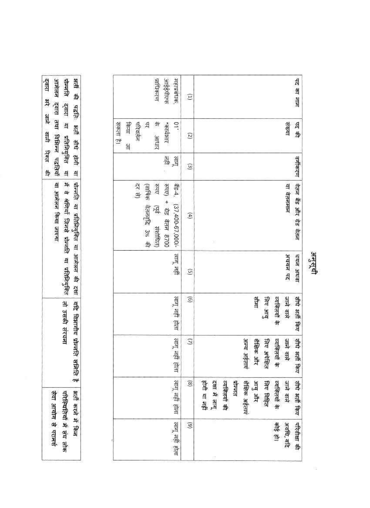| दवारा भरे जाने वाली रिक्त<br>अली की पदति: अली सौधे होगी या                                                            | सहाप्रबंधक<br>प्राधिकरण<br>कर्णाइंडेगर                                                                            | Ξ                      | पद का नाम                                                                                                                                 |         |
|-----------------------------------------------------------------------------------------------------------------------|-------------------------------------------------------------------------------------------------------------------|------------------------|-------------------------------------------------------------------------------------------------------------------------------------------|---------|
| आमेलन दवारा तथा विभिन्न पद्धतियाँ<br>पोन्लति द्वारा या प्रतिनियुक्ति                                                  | 뇐<br><b>STERE</b><br>毕<br>परिवर्तन<br>$01$ .<br>सकता है।<br>किया<br>Allepise.<br>의                                | (2)                    | 印制<br>सिया                                                                                                                                |         |
| 野<br>희                                                                                                                | लायू<br>सङ्क                                                                                                      | $\widehat{\epsilon}$   | दर्गीकरण                                                                                                                                  |         |
| ्घोल्लति या प्रतिनियुक्ति या आमेलन की दशा<br>या आमेलन किया जाएगा<br>में वे श्रेणियाँ जिनसे प्रोन्नति या प्रतिनियुक्ति | रुपए) + ग्रेड वेतन 8700<br>ຈີຣ-4,<br>दर से<br>(वाषिक वेतनवृद्धि 3% की<br>hbit<br>(37,400-67,000/-<br>戽<br>तशोधित) | $\left( 4 \right)$     | वेतन बैंड और ग्रेड वेतन<br>या वेतनमान                                                                                                     |         |
|                                                                                                                       | लागू नहीं                                                                                                         | G                      | चयन अथवा<br>अचयन पद                                                                                                                       | अनुसूची |
| तो उसकी संरचन                                                                                                         | लागू नहीं होता                                                                                                    | $\odot$                | सोमा<br>जाने वाले<br>व्यक्तियों के<br>तीधे अती किए<br>कार अन्                                                                             |         |
| यदि विभागीय प्रोन्तति समिति है                                                                                        | लागू नहीं होता                                                                                                    | $\overline{Q}$         | <b>新 新 新</b><br>अन्य अईताएं<br>शैक्षिक और<br>निविध अपेक्षित<br>व्यक्तियों के<br>जाने वाले                                                 |         |
| भूती करने में किन                                                                                                     | लागू नहीं होता                                                                                                    | $\left( 8 \right)$     | 書書<br>होगी या नहीं<br>शैक्षिक अर्हताएं<br>दशा में लागू<br>व्यक्तियों की<br>प्रोजन्मत<br>आयु और<br>जिए विहित<br>व्यक्तियों के<br>जाने वाले |         |
| सेवा आयोग से परामर्श<br>परियतियां में संघ लोक                                                                         | लागू नहीं होता                                                                                                    | $\widehat{\mathbf{e}}$ | परिवीक्षा की<br>清州<br>अवधि, यदि                                                                                                           |         |

 $\overline{\mathbb{G}}$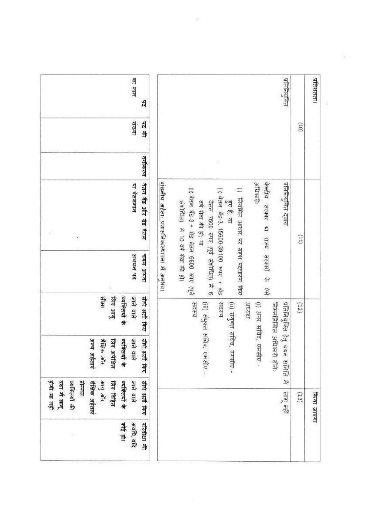| प्रतिशतता।    |         |          |                                                                                    |          |                                         |                                           | किया जाएगा                    |                      |
|---------------|---------|----------|------------------------------------------------------------------------------------|----------|-----------------------------------------|-------------------------------------------|-------------------------------|----------------------|
|               | (01)    |          | $\left(11\right)$                                                                  |          | (12)                                    |                                           | (13)                          |                      |
| प्रतिनियुक्ति |         |          | प्रतिनियुक्ति दवारा                                                                |          | प्रतिमियुक्ति हेतु                      | निम्नलिखित अधिकारी होते:<br>चयन समिति में | लागू नहीं                     |                      |
|               |         |          | अधिकारी:<br>केन्द्रीय सरकार या राज्य सरकारों के                                    | T        | <b>Hatches</b><br>(i) अपर सचिव, एमसीए - |                                           |                               |                      |
|               |         |          | (i) जियमित आधार पर सदृश पदधारण किए                                                 |          |                                         |                                           |                               |                      |
|               |         | 奜        | (ii) वेतन बँड-3, 15600-39100 रुपए + बौड<br>हुए हैं, या                             |          | सदस्य                                   | (ii) संयुक्त सचिव, एमसीए -                |                               |                      |
|               |         |          | वर्ष सेवा की हो; या<br>वेतन 7600 रुपए (पूर्व संशोधित) में 6                        |          |                                         | (iii) संयुक्त सचिव, एमसीए -               |                               |                      |
|               |         |          | (ii) वेतन बैंड-3 + ग्रेड वेतन 6600 रुपए (पूर्व<br>संशोधित) में 10 वर्ष सेवा की हो। |          | सदस्य                                   |                                           |                               |                      |
|               |         |          | <u>वांख्नीय अर्हता: प्रशास</u> निक/स्थापना में अनुभव।                              |          |                                         |                                           |                               |                      |
| A             | पेट की  | वर्गीकरण | वेतन बैंड और ग्रेड वेतन                                                            | चयन अथवा | तीधे अती किए                            | तीये अती किए                              | सीधे अली किए                  | परिवीक्षा की         |
| का नाम        | सम्बन्ध |          | या वेतनमान                                                                         | अचयन पद  | जाने वाले<br>व्यक्तियों के              | जाने वाले<br>व्यक्तियों के                | व्यक्तियों के<br>जाने वाले    | अवधि, यदि<br>कोई हो। |
|               |         |          |                                                                                    |          | 채치<br>क्षा अम्                          | 請明 当<br>जिए अपेक्षित                      | आयु और<br>लिए विहित           |                      |
|               |         |          |                                                                                    |          |                                         | अन्य अहिताएं                              | शैंकिक अर्हताएं<br>प्रोन्चत   |                      |
|               |         |          | Ĩ.                                                                                 |          |                                         |                                           | दशा में लागू<br>व्यक्तियों की | 災                    |
|               |         |          |                                                                                    |          |                                         |                                           |                               |                      |

 $\frac{1}{2}$  ,  $\frac{1}{2}$  ,  $\frac{1}{2}$  ,  $\frac{1}{2}$ 

 $10\%$